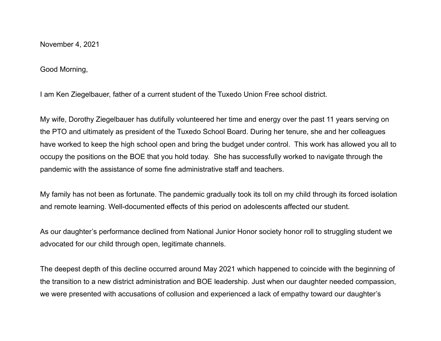November 4, 2021

Good Morning,

I am Ken Ziegelbauer, father of a current student of the Tuxedo Union Free school district.

My wife, Dorothy Ziegelbauer has dutifully volunteered her time and energy over the past 11 years serving on the PTO and ultimately as president of the Tuxedo School Board. During her tenure, she and her colleagues have worked to keep the high school open and bring the budget under control. This work has allowed you all to occupy the positions on the BOE that you hold today. She has successfully worked to navigate through the pandemic with the assistance of some fine administrative staff and teachers.

My family has not been as fortunate. The pandemic gradually took its toll on my child through its forced isolation and remote learning. Well-documented effects of this period on adolescents affected our student.

As our daughter's performance declined from National Junior Honor society honor roll to struggling student we advocated for our child through open, legitimate channels.

The deepest depth of this decline occurred around May 2021 which happened to coincide with the beginning of the transition to a new district administration and BOE leadership. Just when our daughter needed compassion, we were presented with accusations of collusion and experienced a lack of empathy toward our daughter's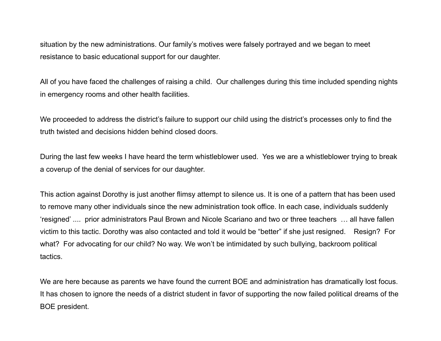situation by the new administrations. Our family's motives were falsely portrayed and we began to meet resistance to basic educational support for our daughter.

All of you have faced the challenges of raising a child. Our challenges during this time included spending nights in emergency rooms and other health facilities.

We proceeded to address the district's failure to support our child using the district's processes only to find the truth twisted and decisions hidden behind closed doors.

During the last few weeks I have heard the term whistleblower used. Yes we are a whistleblower trying to break a coverup of the denial of services for our daughter.

This action against Dorothy is just another flimsy attempt to silence us. It is one of a pattern that has been used to remove many other individuals since the new administration took office. In each case, individuals suddenly 'resigned' .... prior administrators Paul Brown and Nicole Scariano and two or three teachers … all have fallen victim to this tactic. Dorothy was also contacted and told it would be "better" if she just resigned. Resign? For what? For advocating for our child? No way. We won't be intimidated by such bullying, backroom political tactics.

We are here because as parents we have found the current BOE and administration has dramatically lost focus. It has chosen to ignore the needs of a district student in favor of supporting the now failed political dreams of the BOE president.